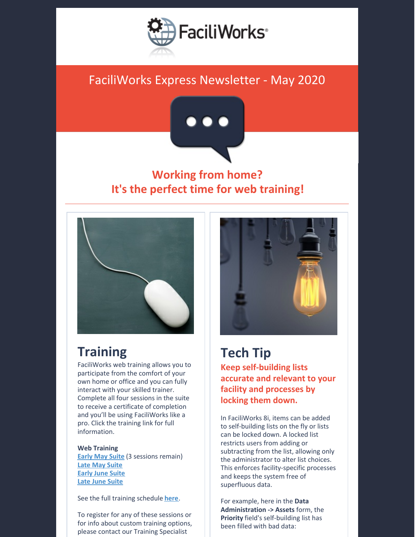

## FaciliWorks Express Newsletter - May 2020



**Working from home? It's the perfect time for web training!**



# **Training**

FaciliWorks web training allows you to participate from the comfort of your own home or office and you can fully interact with your skilled trainer. Complete all four sessions in the suite to receive a certificate of completion and you'll be using FaciliWorks like a pro. Click the training link for full information.

#### **Web Training**

**[Early](https://faciliworks.com/wp-content/uploads/FaciliWorks_8i_Web_Training_Suite_Early_May_2020.pdf) May Suite** (3 sessions remain) **Late May [Suite](https://faciliworks.com/wp-content/uploads/FaciliWorks_8i_Web_Training_Suite_Late_May_2020.pdf) [Early](https://faciliworks.com/wp-content/uploads/FaciliWorks_8i_Web_Training_Suite_Early_June_2020.pdf) June Suite Late June [Suite](https://faciliworks.com/wp-content/uploads/FaciliWorks_8i_Web_Training_Suite_Late_June_2020.pdf)**

See the full training schedule **[here](https://faciliworks.com/training-schedule/)**.

To register for any of these sessions or for info about custom training options, please contact our Training Specialist



### **Tech Tip Keep self-building lists accurate and relevant to your facility and processes by locking them down.**

In FaciliWorks 8i, items can be added to self-building lists on the fly or lists can be locked down. A locked list restricts users from adding or subtracting from the list, allowing only the administrator to alter list choices. This enforces facility-specific processes and keeps the system free of superfluous data.

For example, here in the **Data Administration -> Assets** form, the **Priority** field's self-building list has been filled with bad data: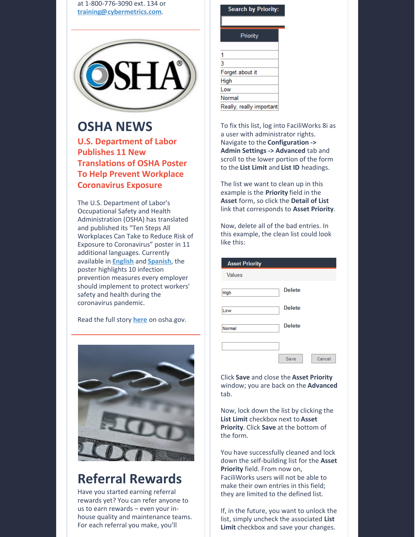at 1-800-776-3090 ext. 134 or **[training@cybermetrics.com](mailto:training@cybermetrics.com)**.



### **OSHA NEWS**

**U.S. Department of Labor Publishes 11 New Translations of OSHA Poster To Help Prevent Workplace Coronavirus Exposure**

The U.S. Department of Labor's Occupational Safety and Health Administration (OSHA) has translated and published its "Ten Steps All Workplaces Can Take to Reduce Risk of Exposure to Coronavirus" poster in 11 additional languages. Currently available in **[English](https://www.osha.gov/Publications/OSHA3994.pdf)** and **[Spanish](https://www.osha.gov/Publications/OSHA3995.pdf)**, the poster highlights 10 infection prevention measures every employer should implement to protect workers' safety and health during the coronavirus pandemic.

Read the full story **[here](https://www.osha.gov/news/newsreleases/national/05042020)** on osha.gov.



# **Referral Rewards**

Have you started earning referral rewards yet? You can refer anyone to us to earn rewards – even your inhouse quality and maintenance teams. For each referral you make, you'll

| <b>Search by Priority:</b> |  |
|----------------------------|--|
|----------------------------|--|

| Priority                 |  |  |  |  |
|--------------------------|--|--|--|--|
|                          |  |  |  |  |
| 1                        |  |  |  |  |
| 3                        |  |  |  |  |
| Forget about it          |  |  |  |  |
| High                     |  |  |  |  |
| Low                      |  |  |  |  |
| Normal                   |  |  |  |  |
| Really, really important |  |  |  |  |

To fix this list, log into FaciliWorks 8i as a user with administrator rights. Navigate to the **Configuration -> Admin Settings -> Advanced** tab and scroll to the lower portion of the form to the **List Limit** and **List ID** headings.

The list we want to clean up in this example is the **Priority** field in the **Asset** form, so click the **Detail of List** link that corresponds to **Asset Priority**.

Now, delete all of the bad entries. In this example, the clean list could look like this:

| <b>Asset Priority</b> |               |        |
|-----------------------|---------------|--------|
| Values                |               |        |
| High                  | <b>Delete</b> |        |
| Low                   | <b>Delete</b> |        |
| Normal                | <b>Delete</b> |        |
|                       |               |        |
|                       | Save          | Cancel |

Click **Save** and close the **Asset Priority** window; you are back on the **Advanced** tab.

Now, lock down the list by clicking the **List Limit** checkbox next to **Asset Priority**. Click **Save** at the bottom of the form.

You have successfully cleaned and lock down the self-building list for the **Asset Priority** field. From now on, FaciliWorks users will not be able to make their own entries in this field; they are limited to the defined list.

If, in the future, you want to unlock the list, simply uncheck the associated **List Limit** checkbox and save your changes.